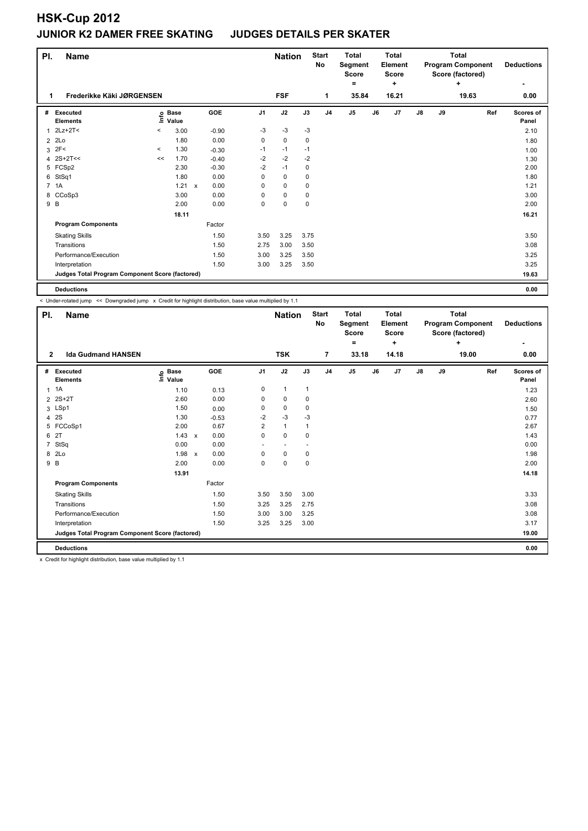| PI.            | <b>Name</b>                                     |          |                            |              |            |                | <b>Nation</b> |      | <b>Start</b><br>No | <b>Total</b><br>Segment<br><b>Score</b><br>= |    | <b>Total</b><br><b>Element</b><br><b>Score</b><br>÷ |    |    | <b>Total</b><br><b>Program Component</b><br>Score (factored)<br>÷ | <b>Deductions</b>  |
|----------------|-------------------------------------------------|----------|----------------------------|--------------|------------|----------------|---------------|------|--------------------|----------------------------------------------|----|-----------------------------------------------------|----|----|-------------------------------------------------------------------|--------------------|
| 1              | Frederikke Käki JØRGENSEN                       |          |                            |              |            |                | <b>FSF</b>    |      | 1                  | 35.84                                        |    | 16.21                                               |    |    | 19.63                                                             | 0.00               |
| #              | Executed<br><b>Elements</b>                     |          | e Base<br>⊆ Value<br>Value |              | <b>GOE</b> | J <sub>1</sub> | J2            | J3   | J <sub>4</sub>     | J <sub>5</sub>                               | J6 | J <sub>7</sub>                                      | J8 | J9 | Ref                                                               | Scores of<br>Panel |
| 1              | $2Lz+2T2$                                       | $\,<$    | 3.00                       |              | $-0.90$    | $-3$           | $-3$          | $-3$ |                    |                                              |    |                                                     |    |    |                                                                   | 2.10               |
| $\overline{2}$ | 2Lo                                             |          | 1.80                       |              | 0.00       | 0              | $\pmb{0}$     | 0    |                    |                                              |    |                                                     |    |    |                                                                   | 1.80               |
| 3              | 2F<                                             | $\hat{}$ | 1.30                       |              | $-0.30$    | $-1$           | $-1$          | $-1$ |                    |                                              |    |                                                     |    |    |                                                                   | 1.00               |
| 4              | $2S+2T<<$                                       | <<       | 1.70                       |              | $-0.40$    | $-2$           | $-2$          | $-2$ |                    |                                              |    |                                                     |    |    |                                                                   | 1.30               |
|                | 5 FCSp2                                         |          | 2.30                       |              | $-0.30$    | $-2$           | $-1$          | 0    |                    |                                              |    |                                                     |    |    |                                                                   | 2.00               |
| 6              | StSq1                                           |          | 1.80                       |              | 0.00       | $\Omega$       | $\mathbf 0$   | 0    |                    |                                              |    |                                                     |    |    |                                                                   | 1.80               |
|                | 7 1A                                            |          | 1.21                       | $\mathsf{x}$ | 0.00       | 0              | $\mathbf 0$   | 0    |                    |                                              |    |                                                     |    |    |                                                                   | 1.21               |
| 8              | CCoSp3                                          |          | 3.00                       |              | 0.00       | 0              | $\mathbf 0$   | 0    |                    |                                              |    |                                                     |    |    |                                                                   | 3.00               |
| 9 B            |                                                 |          | 2.00                       |              | 0.00       | 0              | $\mathbf 0$   | 0    |                    |                                              |    |                                                     |    |    |                                                                   | 2.00               |
|                |                                                 |          | 18.11                      |              |            |                |               |      |                    |                                              |    |                                                     |    |    |                                                                   | 16.21              |
|                | <b>Program Components</b>                       |          |                            |              | Factor     |                |               |      |                    |                                              |    |                                                     |    |    |                                                                   |                    |
|                | <b>Skating Skills</b>                           |          |                            |              | 1.50       | 3.50           | 3.25          | 3.75 |                    |                                              |    |                                                     |    |    |                                                                   | 3.50               |
|                | Transitions                                     |          |                            |              | 1.50       | 2.75           | 3.00          | 3.50 |                    |                                              |    |                                                     |    |    |                                                                   | 3.08               |
|                | Performance/Execution                           |          |                            |              | 1.50       | 3.00           | 3.25          | 3.50 |                    |                                              |    |                                                     |    |    |                                                                   | 3.25               |
|                | Interpretation                                  |          |                            |              | 1.50       | 3.00           | 3.25          | 3.50 |                    |                                              |    |                                                     |    |    |                                                                   | 3.25               |
|                | Judges Total Program Component Score (factored) |          |                            |              |            |                |               |      |                    |                                              |    | 19.63                                               |    |    |                                                                   |                    |
|                | <b>Deductions</b>                               |          |                            |              |            |                |               |      |                    |                                              |    |                                                     |    |    |                                                                   | 0.00               |

< Under-rotated jump << Downgraded jump x Credit for highlight distribution, base value multiplied by 1.1

| PI.            | <b>Name</b>                                     |                              |                           |         |                | <b>Nation</b>            |                | <b>Start</b><br>No | <b>Total</b><br>Segment<br><b>Score</b><br>٠ |    | <b>Total</b><br>Element<br><b>Score</b><br>÷ |    |    | <b>Total</b><br><b>Program Component</b><br>Score (factored)<br>÷ | <b>Deductions</b>  |
|----------------|-------------------------------------------------|------------------------------|---------------------------|---------|----------------|--------------------------|----------------|--------------------|----------------------------------------------|----|----------------------------------------------|----|----|-------------------------------------------------------------------|--------------------|
| $\mathbf{2}$   | <b>Ida Gudmand HANSEN</b>                       |                              |                           |         |                | <b>TSK</b>               |                | $\overline{7}$     | 33.18                                        |    | 14.18                                        |    |    | 19.00                                                             | 0.00               |
| #              | Executed<br><b>Elements</b>                     | <b>Base</b><br>١nfo<br>Value |                           | GOE     | J <sub>1</sub> | J2                       | J3             | J <sub>4</sub>     | J <sub>5</sub>                               | J6 | J7                                           | J8 | J9 | Ref                                                               | Scores of<br>Panel |
| $\mathbf{1}$   | 1A                                              | 1.10                         |                           | 0.13    | 0              | $\mathbf{1}$             | $\mathbf{1}$   |                    |                                              |    |                                              |    |    |                                                                   | 1.23               |
|                | 2 2S+2T                                         | 2.60                         |                           | 0.00    | 0              | 0                        | 0              |                    |                                              |    |                                              |    |    |                                                                   | 2.60               |
|                | 3 LSp1                                          | 1.50                         |                           | 0.00    | 0              | $\mathbf 0$              | 0              |                    |                                              |    |                                              |    |    |                                                                   | 1.50               |
| 4              | 2S                                              | 1.30                         |                           | $-0.53$ | $-2$           | $-3$                     | $-3$           |                    |                                              |    |                                              |    |    |                                                                   | 0.77               |
|                | 5 FCCoSp1                                       | 2.00                         |                           | 0.67    | 2              | $\mathbf{1}$             | $\overline{1}$ |                    |                                              |    |                                              |    |    |                                                                   | 2.67               |
| 6              | 2T                                              | 1.43                         | $\mathsf{x}$              | 0.00    | $\mathbf 0$    | $\Omega$                 | 0              |                    |                                              |    |                                              |    |    |                                                                   | 1.43               |
| $\overline{7}$ | StSq                                            | 0.00                         |                           | 0.00    | ٠              | $\overline{\phantom{a}}$ |                |                    |                                              |    |                                              |    |    |                                                                   | 0.00               |
| 8              | 2Lo                                             | 1.98                         | $\boldsymbol{\mathsf{x}}$ | 0.00    | 0              | $\mathbf 0$              | 0              |                    |                                              |    |                                              |    |    |                                                                   | 1.98               |
| 9 B            |                                                 | 2.00                         |                           | 0.00    | $\Omega$       | $\mathbf 0$              | 0              |                    |                                              |    |                                              |    |    |                                                                   | 2.00               |
|                |                                                 | 13.91                        |                           |         |                |                          |                |                    |                                              |    |                                              |    |    |                                                                   | 14.18              |
|                | <b>Program Components</b>                       |                              |                           | Factor  |                |                          |                |                    |                                              |    |                                              |    |    |                                                                   |                    |
|                | <b>Skating Skills</b>                           |                              |                           | 1.50    | 3.50           | 3.50                     | 3.00           |                    |                                              |    |                                              |    |    |                                                                   | 3.33               |
|                | Transitions                                     |                              |                           | 1.50    | 3.25           | 3.25                     | 2.75           |                    |                                              |    |                                              |    |    |                                                                   | 3.08               |
|                | Performance/Execution                           |                              |                           | 1.50    | 3.00           | 3.00                     | 3.25           |                    |                                              |    |                                              |    |    |                                                                   | 3.08               |
|                | Interpretation                                  |                              |                           | 1.50    | 3.25           | 3.25                     | 3.00           |                    |                                              |    |                                              |    |    |                                                                   | 3.17               |
|                | Judges Total Program Component Score (factored) |                              |                           |         |                |                          |                |                    |                                              |    |                                              |    |    |                                                                   | 19.00              |
|                | <b>Deductions</b>                               |                              |                           |         |                |                          |                |                    |                                              |    |                                              |    |    |                                                                   | 0.00               |

x Credit for highlight distribution, base value multiplied by 1.1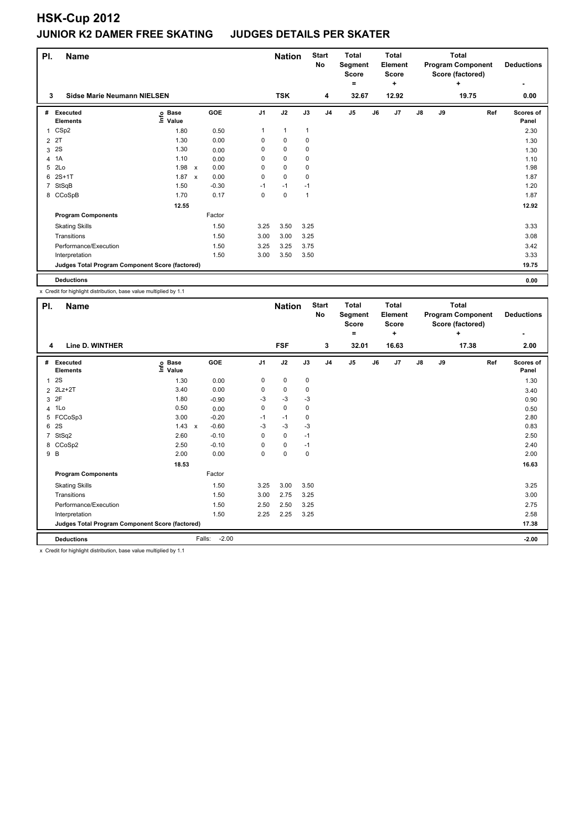| PI. | <b>Name</b>                                     |                   | <b>Start</b><br>Total<br><b>Nation</b><br>No<br>Segment<br>Score<br>= |         |                |              | <b>Total</b><br>Element<br><b>Score</b><br>٠ |                |                | <b>Total</b><br><b>Program Component</b><br>Score (factored)<br>÷ | <b>Deductions</b> |    |    |       |                    |
|-----|-------------------------------------------------|-------------------|-----------------------------------------------------------------------|---------|----------------|--------------|----------------------------------------------|----------------|----------------|-------------------------------------------------------------------|-------------------|----|----|-------|--------------------|
| 3   | Sidse Marie Neumann NIELSEN                     |                   |                                                                       |         |                | <b>TSK</b>   |                                              | 4              | 32.67          |                                                                   | 12.92             |    |    | 19.75 | 0.00               |
|     | # Executed<br><b>Elements</b>                   | e Base<br>⊆ Value |                                                                       | GOE     | J <sub>1</sub> | J2           | J3                                           | J <sub>4</sub> | J <sub>5</sub> | J6                                                                | J7                | J8 | J9 | Ref   | Scores of<br>Panel |
|     | 1 CSp2                                          | 1.80              |                                                                       | 0.50    | 1              | $\mathbf{1}$ | $\mathbf{1}$                                 |                |                |                                                                   |                   |    |    |       | 2.30               |
|     | 2 2T                                            | 1.30              |                                                                       | 0.00    | 0              | $\mathbf 0$  | 0                                            |                |                |                                                                   |                   |    |    |       | 1.30               |
|     | 3 <sup>2</sup>                                  | 1.30              |                                                                       | 0.00    | 0              | $\mathbf 0$  | 0                                            |                |                |                                                                   |                   |    |    |       | 1.30               |
|     | 4 1A                                            | 1.10              |                                                                       | 0.00    | 0              | $\pmb{0}$    | 0                                            |                |                |                                                                   |                   |    |    |       | 1.10               |
| 5   | 2Lo                                             | 1.98              | $\mathsf{x}$                                                          | 0.00    | 0              | $\mathbf 0$  | 0                                            |                |                |                                                                   |                   |    |    |       | 1.98               |
| 6   | $2S+1T$                                         | 1.87              | $\mathsf{x}$                                                          | 0.00    | 0              | $\mathbf 0$  | 0                                            |                |                |                                                                   |                   |    |    |       | 1.87               |
|     | 7 StSqB                                         | 1.50              |                                                                       | $-0.30$ | $-1$           | $-1$         | $-1$                                         |                |                |                                                                   |                   |    |    |       | 1.20               |
|     | 8 CCoSpB                                        | 1.70              |                                                                       | 0.17    | 0              | $\mathbf 0$  | 1                                            |                |                |                                                                   |                   |    |    |       | 1.87               |
|     |                                                 | 12.55             |                                                                       |         |                |              |                                              |                |                |                                                                   |                   |    |    |       | 12.92              |
|     | <b>Program Components</b>                       |                   |                                                                       | Factor  |                |              |                                              |                |                |                                                                   |                   |    |    |       |                    |
|     | <b>Skating Skills</b>                           |                   |                                                                       | 1.50    | 3.25           | 3.50         | 3.25                                         |                |                |                                                                   |                   |    |    |       | 3.33               |
|     | Transitions                                     |                   |                                                                       | 1.50    | 3.00           | 3.00         | 3.25                                         |                |                |                                                                   |                   |    |    |       | 3.08               |
|     | Performance/Execution                           |                   |                                                                       | 1.50    | 3.25           | 3.25         | 3.75                                         |                |                |                                                                   |                   |    |    |       | 3.42               |
|     | Interpretation                                  |                   |                                                                       | 1.50    | 3.00           | 3.50         | 3.50                                         |                |                |                                                                   |                   |    |    |       | 3.33               |
|     | Judges Total Program Component Score (factored) |                   |                                                                       |         |                |              |                                              |                |                |                                                                   |                   |    |    |       | 19.75              |
|     | <b>Deductions</b>                               |                   |                                                                       |         |                |              |                                              |                |                |                                                                   |                   |    |    |       | 0.00               |

x Credit for highlight distribution, base value multiplied by 1.1

| PI.            | <b>Name</b>                                     |                                   |                   |                | <b>Nation</b> |      | <b>Start</b><br>No | <b>Total</b><br>Segment<br><b>Score</b><br>= |    | <b>Total</b><br>Element<br><b>Score</b><br>÷ |               |    | <b>Total</b><br><b>Program Component</b><br>Score (factored)<br>٠ | <b>Deductions</b>  |
|----------------|-------------------------------------------------|-----------------------------------|-------------------|----------------|---------------|------|--------------------|----------------------------------------------|----|----------------------------------------------|---------------|----|-------------------------------------------------------------------|--------------------|
| 4              | Line D. WINTHER                                 |                                   |                   |                | <b>FSF</b>    |      | 3                  | 32.01                                        |    | 16.63                                        |               |    | 17.38                                                             | 2.00               |
| #              | Executed<br><b>Elements</b>                     | e Base<br>⊆ Value<br>Value        | GOE               | J <sub>1</sub> | J2            | J3   | J <sub>4</sub>     | J <sub>5</sub>                               | J6 | J7                                           | $\mathsf{J}8$ | J9 | Ref                                                               | Scores of<br>Panel |
| $\mathbf{1}$   | 2S                                              | 1.30                              | 0.00              | 0              | $\pmb{0}$     | 0    |                    |                                              |    |                                              |               |    |                                                                   | 1.30               |
| $\overline{2}$ | $2Lz+2T$                                        | 3.40                              | 0.00              | 0              | $\pmb{0}$     | 0    |                    |                                              |    |                                              |               |    |                                                                   | 3.40               |
|                | 3 2F                                            | 1.80                              | $-0.90$           | -3             | $-3$          | -3   |                    |                                              |    |                                              |               |    |                                                                   | 0.90               |
| 4              | 1Lo                                             | 0.50                              | 0.00              | 0              | 0             | 0    |                    |                                              |    |                                              |               |    |                                                                   | 0.50               |
| 5              | FCCoSp3                                         | 3.00                              | $-0.20$           | $-1$           | $-1$          | 0    |                    |                                              |    |                                              |               |    |                                                                   | 2.80               |
| 6              | 2S                                              | 1.43<br>$\boldsymbol{\mathsf{x}}$ | $-0.60$           | -3             | -3            | -3   |                    |                                              |    |                                              |               |    |                                                                   | 0.83               |
| $\overline{7}$ | StSq2                                           | 2.60                              | $-0.10$           | $\Omega$       | $\mathbf 0$   | $-1$ |                    |                                              |    |                                              |               |    |                                                                   | 2.50               |
| 8              | CCoSp2                                          | 2.50                              | $-0.10$           | 0              | $\mathbf 0$   | $-1$ |                    |                                              |    |                                              |               |    |                                                                   | 2.40               |
|                | 9 B                                             | 2.00                              | 0.00              | 0              | $\mathbf 0$   | 0    |                    |                                              |    |                                              |               |    |                                                                   | 2.00               |
|                |                                                 | 18.53                             |                   |                |               |      |                    |                                              |    |                                              |               |    |                                                                   | 16.63              |
|                | <b>Program Components</b>                       |                                   | Factor            |                |               |      |                    |                                              |    |                                              |               |    |                                                                   |                    |
|                | <b>Skating Skills</b>                           |                                   | 1.50              | 3.25           | 3.00          | 3.50 |                    |                                              |    |                                              |               |    |                                                                   | 3.25               |
|                | Transitions                                     |                                   | 1.50              | 3.00           | 2.75          | 3.25 |                    |                                              |    |                                              |               |    |                                                                   | 3.00               |
|                | Performance/Execution                           |                                   | 1.50              | 2.50           | 2.50          | 3.25 |                    |                                              |    |                                              |               |    |                                                                   | 2.75               |
|                | Interpretation                                  |                                   | 1.50              | 2.25           | 2.25          | 3.25 |                    |                                              |    |                                              |               |    |                                                                   | 2.58               |
|                | Judges Total Program Component Score (factored) |                                   |                   |                |               |      |                    |                                              |    |                                              |               |    |                                                                   | 17.38              |
|                | <b>Deductions</b>                               |                                   | $-2.00$<br>Falls: |                |               |      |                    |                                              |    |                                              |               |    |                                                                   | $-2.00$            |

x Credit for highlight distribution, base value multiplied by 1.1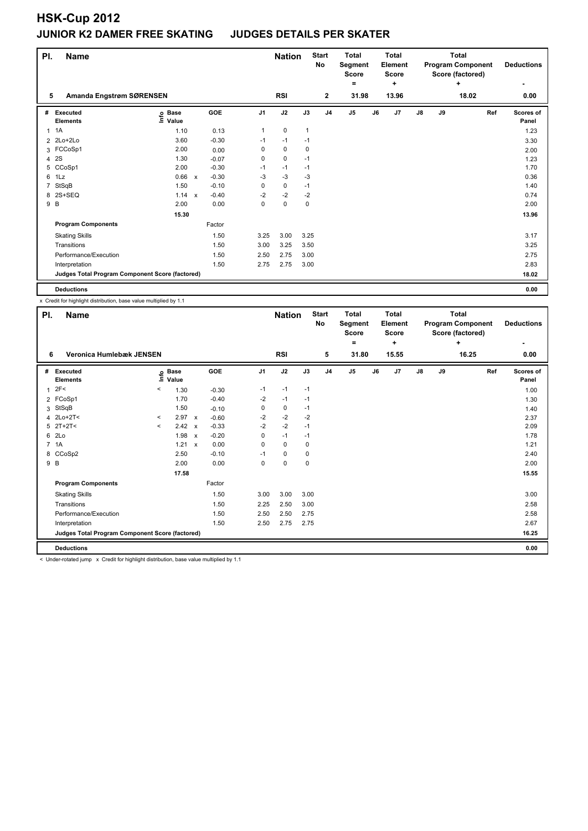| PI.            | <b>Name</b>                                     |                                                    |              |            |                | <b>Nation</b> |              | <b>Start</b><br><b>No</b> | <b>Total</b><br>Segment<br><b>Score</b> |    | Total<br>Element<br><b>Score</b> |               | Total<br><b>Program Component</b><br>Score (factored) | <b>Deductions</b> |                    |
|----------------|-------------------------------------------------|----------------------------------------------------|--------------|------------|----------------|---------------|--------------|---------------------------|-----------------------------------------|----|----------------------------------|---------------|-------------------------------------------------------|-------------------|--------------------|
|                |                                                 |                                                    |              |            |                |               |              |                           | Ξ.                                      |    | ٠                                |               |                                                       | ÷                 |                    |
| 5              | Amanda Engstrøm SØRENSEN                        |                                                    |              |            |                | <b>RSI</b>    |              | $\mathbf{2}$              | 31.98                                   |    | 13.96                            |               |                                                       | 18.02             | 0.00               |
| #              | Executed<br><b>Elements</b>                     | $\frac{6}{5}$ Base<br>$\frac{5}{5}$ Value<br>Value |              | <b>GOE</b> | J <sub>1</sub> | J2            | J3           | J <sub>4</sub>            | J <sub>5</sub>                          | J6 | J7                               | $\mathsf{J}8$ | J9                                                    | Ref               | Scores of<br>Panel |
| 1              | 1A                                              | 1.10                                               |              | 0.13       | $\mathbf{1}$   | $\mathbf 0$   | $\mathbf{1}$ |                           |                                         |    |                                  |               |                                                       |                   | 1.23               |
| $\overline{2}$ | 2Lo+2Lo                                         | 3.60                                               |              | $-0.30$    | $-1$           | $-1$          | $-1$         |                           |                                         |    |                                  |               |                                                       |                   | 3.30               |
|                | 3 FCCoSp1                                       | 2.00                                               |              | 0.00       | 0              | $\mathbf 0$   | 0            |                           |                                         |    |                                  |               |                                                       |                   | 2.00               |
| 4              | 2S                                              | 1.30                                               |              | $-0.07$    | 0              | $\mathbf 0$   | $-1$         |                           |                                         |    |                                  |               |                                                       |                   | 1.23               |
| 5              | CCoSp1                                          | 2.00                                               |              | $-0.30$    | $-1$           | $-1$          | $-1$         |                           |                                         |    |                                  |               |                                                       |                   | 1.70               |
| 6              | 1Lz                                             | 0.66                                               | $\mathsf{x}$ | $-0.30$    | $-3$           | $-3$          | $-3$         |                           |                                         |    |                                  |               |                                                       |                   | 0.36               |
| 7              | StSqB                                           | 1.50                                               |              | $-0.10$    | 0              | $\pmb{0}$     | $-1$         |                           |                                         |    |                                  |               |                                                       |                   | 1.40               |
| 8              | 2S+SEQ                                          | 1.14                                               | $\mathsf{x}$ | $-0.40$    | $-2$           | $-2$          | $-2$         |                           |                                         |    |                                  |               |                                                       |                   | 0.74               |
| 9 B            |                                                 | 2.00                                               |              | 0.00       | 0              | $\pmb{0}$     | 0            |                           |                                         |    |                                  |               |                                                       |                   | 2.00               |
|                |                                                 | 15.30                                              |              |            |                |               |              |                           |                                         |    |                                  |               |                                                       |                   | 13.96              |
|                | <b>Program Components</b>                       |                                                    |              | Factor     |                |               |              |                           |                                         |    |                                  |               |                                                       |                   |                    |
|                | <b>Skating Skills</b>                           |                                                    |              | 1.50       | 3.25           | 3.00          | 3.25         |                           |                                         |    |                                  |               |                                                       |                   | 3.17               |
|                | Transitions                                     |                                                    |              | 1.50       | 3.00           | 3.25          | 3.50         |                           |                                         |    |                                  |               |                                                       |                   | 3.25               |
|                | Performance/Execution                           |                                                    |              | 1.50       | 2.50           | 2.75          | 3.00         |                           |                                         |    |                                  |               |                                                       |                   | 2.75               |
|                | Interpretation                                  |                                                    |              | 1.50       | 2.75           | 2.75          | 3.00         |                           |                                         |    |                                  |               |                                                       |                   | 2.83               |
|                | Judges Total Program Component Score (factored) |                                                    |              |            |                |               |              |                           |                                         |    |                                  |               |                                                       |                   | 18.02              |
|                | <b>Deductions</b>                               |                                                    |              |            |                |               |              |                           |                                         |    |                                  |               |                                                       |                   | 0.00               |

x Credit for highlight distribution, base value multiplied by 1.1

| PI.            | <b>Name</b>                                                                                                                                                                                                                   |          |                      |                           |            |                | <b>Nation</b> |      | <b>Start</b><br>No | <b>Total</b><br>Segment<br><b>Score</b><br>۰ |    | <b>Total</b><br>Element<br><b>Score</b><br>÷ |    |    | <b>Total</b><br><b>Program Component</b><br>Score (factored)<br>÷ | <b>Deductions</b><br>۰ |
|----------------|-------------------------------------------------------------------------------------------------------------------------------------------------------------------------------------------------------------------------------|----------|----------------------|---------------------------|------------|----------------|---------------|------|--------------------|----------------------------------------------|----|----------------------------------------------|----|----|-------------------------------------------------------------------|------------------------|
| 6              | Veronica Humlebæk JENSEN                                                                                                                                                                                                      |          |                      |                           |            |                | <b>RSI</b>    |      | 5                  | 31.80                                        |    | 15.55                                        |    |    | 16.25                                                             | 0.00                   |
| #              | Executed<br><b>Elements</b>                                                                                                                                                                                                   | lnfo     | <b>Base</b><br>Value |                           | <b>GOE</b> | J <sub>1</sub> | J2            | J3   | J <sub>4</sub>     | J <sub>5</sub>                               | J6 | J <sub>7</sub>                               | J8 | J9 | Ref                                                               | Scores of<br>Panel     |
| $\overline{1}$ | 2F<                                                                                                                                                                                                                           | $\,<$    | 1.30                 |                           | $-0.30$    | $-1$           | $-1$          | $-1$ |                    |                                              |    |                                              |    |    |                                                                   | 1.00                   |
|                | 2 FCoSp1                                                                                                                                                                                                                      |          | 1.70                 |                           | $-0.40$    | $-2$           | $-1$          | $-1$ |                    |                                              |    |                                              |    |    |                                                                   | 1.30                   |
| 3              | StSqB                                                                                                                                                                                                                         |          | 1.50                 |                           | $-0.10$    | 0              | $\mathbf 0$   | $-1$ |                    |                                              |    |                                              |    |    |                                                                   | 1.40                   |
|                | 4 2Lo+2T<                                                                                                                                                                                                                     | $\,<\,$  | 2.97                 | $\mathbf{x}$              | $-0.60$    | $-2$           | $-2$          | $-2$ |                    |                                              |    |                                              |    |    |                                                                   | 2.37                   |
|                | $5$ 2T+2T<                                                                                                                                                                                                                    | $\hat{}$ | 2.42                 | $\mathsf{x}$              | $-0.33$    | -2             | $-2$          | $-1$ |                    |                                              |    |                                              |    |    |                                                                   | 2.09                   |
| 6              | 2Lo                                                                                                                                                                                                                           |          | 1.98                 | $\boldsymbol{\mathsf{x}}$ | $-0.20$    | 0              | $-1$          | $-1$ |                    |                                              |    |                                              |    |    |                                                                   | 1.78                   |
|                | 7 1A                                                                                                                                                                                                                          |          | 1.21                 | $\mathsf{x}$              | 0.00       | $\Omega$       | $\mathbf 0$   | 0    |                    |                                              |    |                                              |    |    |                                                                   | 1.21                   |
| 8              | CCoSp2                                                                                                                                                                                                                        |          | 2.50                 |                           | $-0.10$    | $-1$           | 0             | 0    |                    |                                              |    |                                              |    |    |                                                                   | 2.40                   |
| 9 B            |                                                                                                                                                                                                                               |          | 2.00                 |                           | 0.00       | 0              | $\pmb{0}$     | 0    |                    |                                              |    |                                              |    |    |                                                                   | 2.00                   |
|                |                                                                                                                                                                                                                               |          | 17.58                |                           |            |                |               |      |                    |                                              |    |                                              |    |    |                                                                   | 15.55                  |
|                | <b>Program Components</b>                                                                                                                                                                                                     |          |                      |                           | Factor     |                |               |      |                    |                                              |    |                                              |    |    |                                                                   |                        |
|                | <b>Skating Skills</b>                                                                                                                                                                                                         |          |                      |                           | 1.50       | 3.00           | 3.00          | 3.00 |                    |                                              |    |                                              |    |    |                                                                   | 3.00                   |
|                | Transitions                                                                                                                                                                                                                   |          |                      |                           | 1.50       | 2.25           | 2.50          | 3.00 |                    |                                              |    |                                              |    |    |                                                                   | 2.58                   |
|                | Performance/Execution                                                                                                                                                                                                         |          |                      |                           | 1.50       | 2.50           | 2.50          | 2.75 |                    |                                              |    |                                              |    |    |                                                                   | 2.58                   |
|                | Interpretation                                                                                                                                                                                                                |          |                      |                           | 1.50       | 2.50           | 2.75          | 2.75 |                    |                                              |    |                                              |    |    |                                                                   | 2.67                   |
|                | Judges Total Program Component Score (factored)                                                                                                                                                                               |          |                      |                           |            |                |               |      |                    |                                              |    |                                              |    |    |                                                                   | 16.25                  |
|                | <b>Deductions</b>                                                                                                                                                                                                             |          |                      |                           |            |                |               |      |                    |                                              |    |                                              |    |    |                                                                   | 0.00                   |
|                | a material property of the contract of the second contract of the contract of the contract of the contract of the contract of the contract of the contract of the contract of the contract of the contract of the contract of |          |                      |                           |            |                |               |      |                    |                                              |    |                                              |    |    |                                                                   |                        |

< Under-rotated jump x Credit for highlight distribution, base value multiplied by 1.1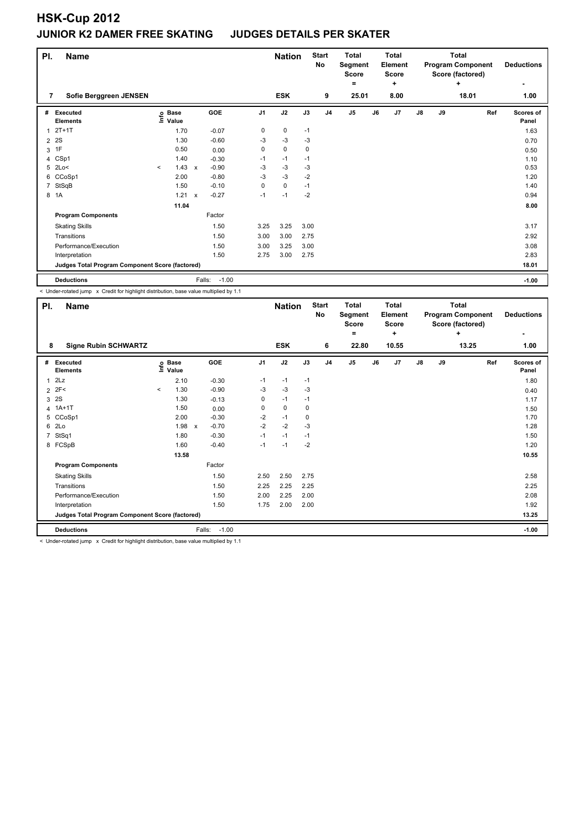| PI.            | Name                                            |         |                                  |                           |            |                | <b>Nation</b> |             | <b>Start</b><br>No | <b>Total</b><br>Segment<br><b>Score</b><br>۰ |    | Total<br>Element<br><b>Score</b><br>÷ |    |    | <b>Total</b><br><b>Program Component</b><br>Score (factored)<br>٠ | <b>Deductions</b><br>٠    |
|----------------|-------------------------------------------------|---------|----------------------------------|---------------------------|------------|----------------|---------------|-------------|--------------------|----------------------------------------------|----|---------------------------------------|----|----|-------------------------------------------------------------------|---------------------------|
| 7              | Sofie Berggreen JENSEN                          |         |                                  |                           |            |                | <b>ESK</b>    |             | 9                  | 25.01                                        |    | 8.00                                  |    |    | 18.01                                                             | 1.00                      |
| #              | Executed<br><b>Elements</b>                     |         | <b>Base</b><br>e Base<br>⊑ Value |                           | <b>GOE</b> | J <sub>1</sub> | J2            | J3          | J <sub>4</sub>     | J <sub>5</sub>                               | J6 | J <sub>7</sub>                        | J8 | J9 | Ref                                                               | <b>Scores of</b><br>Panel |
| 1              | $2T+1T$                                         |         | 1.70                             |                           | $-0.07$    | 0              | 0             | $-1$        |                    |                                              |    |                                       |    |    |                                                                   | 1.63                      |
| 2              | 2S                                              |         | 1.30                             |                           | $-0.60$    | -3             | $-3$          | $-3$        |                    |                                              |    |                                       |    |    |                                                                   | 0.70                      |
| 3              | 1F                                              |         | 0.50                             |                           | 0.00       | 0              | $\mathbf 0$   | $\mathbf 0$ |                    |                                              |    |                                       |    |    |                                                                   | 0.50                      |
|                | 4 CSp1                                          |         | 1.40                             |                           | $-0.30$    | $-1$           | $-1$          | $-1$        |                    |                                              |    |                                       |    |    |                                                                   | 1.10                      |
| 5              | 2Lo<                                            | $\prec$ | 1.43                             | $\mathsf{x}$              | $-0.90$    | -3             | $-3$          | $-3$        |                    |                                              |    |                                       |    |    |                                                                   | 0.53                      |
| 6              | CCoSp1                                          |         | 2.00                             |                           | $-0.80$    | $-3$           | $-3$          | $-2$        |                    |                                              |    |                                       |    |    |                                                                   | 1.20                      |
| $\overline{7}$ | StSqB                                           |         | 1.50                             |                           | $-0.10$    | 0              | $\mathbf 0$   | $-1$        |                    |                                              |    |                                       |    |    |                                                                   | 1.40                      |
|                | 8 1A                                            |         | 1.21                             | $\boldsymbol{\mathsf{x}}$ | $-0.27$    | $-1$           | $-1$          | $-2$        |                    |                                              |    |                                       |    |    |                                                                   | 0.94                      |
|                |                                                 |         | 11.04                            |                           |            |                |               |             |                    |                                              |    |                                       |    |    |                                                                   | 8.00                      |
|                | <b>Program Components</b>                       |         |                                  |                           | Factor     |                |               |             |                    |                                              |    |                                       |    |    |                                                                   |                           |
|                | <b>Skating Skills</b>                           |         |                                  |                           | 1.50       | 3.25           | 3.25          | 3.00        |                    |                                              |    |                                       |    |    |                                                                   | 3.17                      |
|                | Transitions                                     |         |                                  |                           | 1.50       | 3.00           | 3.00          | 2.75        |                    |                                              |    |                                       |    |    |                                                                   | 2.92                      |
|                | Performance/Execution                           |         |                                  |                           | 1.50       | 3.00           | 3.25          | 3.00        |                    |                                              |    |                                       |    |    |                                                                   | 3.08                      |
|                | Interpretation                                  |         |                                  |                           | 1.50       | 2.75           | 3.00          | 2.75        |                    |                                              |    |                                       |    |    |                                                                   | 2.83                      |
|                | Judges Total Program Component Score (factored) |         |                                  |                           |            |                |               |             |                    |                                              |    |                                       |    |    |                                                                   | 18.01                     |
|                | <b>Deductions</b>                               |         |                                  | Falls:                    | $-1.00$    |                |               |             |                    |                                              |    |                                       |    |    |                                                                   | $-1.00$                   |

< Under-rotated jump x Credit for highlight distribution, base value multiplied by 1.1

| PI.            | <b>Name</b>                                     |          |                   |                           |         |                | <b>Nation</b> |      | <b>Start</b><br>No | <b>Total</b><br>Segment<br><b>Score</b><br>٠ |    | <b>Total</b><br><b>Element</b><br><b>Score</b><br>÷ |    | <b>Total</b><br><b>Program Component</b><br>Score (factored) | <b>Deductions</b> |                           |
|----------------|-------------------------------------------------|----------|-------------------|---------------------------|---------|----------------|---------------|------|--------------------|----------------------------------------------|----|-----------------------------------------------------|----|--------------------------------------------------------------|-------------------|---------------------------|
| 8              | <b>Signe Rubin SCHWARTZ</b>                     |          |                   |                           |         |                | <b>ESK</b>    |      | 6                  | 22.80                                        |    | 10.55                                               |    |                                                              | 13.25             | 1.00                      |
| #              | <b>Executed</b><br><b>Elements</b>              |          | e Base<br>⊆ Value |                           | GOE     | J <sub>1</sub> | J2            | J3   | J <sub>4</sub>     | J <sub>5</sub>                               | J6 | J <sub>7</sub>                                      | J8 | J9                                                           | Ref               | <b>Scores of</b><br>Panel |
| $\mathbf{1}$   | 2Lz                                             |          | 2.10              |                           | $-0.30$ | $-1$           | $-1$          | $-1$ |                    |                                              |    |                                                     |    |                                                              |                   | 1.80                      |
|                | $2$ 2F<                                         | $\hat{}$ | 1.30              |                           | $-0.90$ | -3             | $-3$          | $-3$ |                    |                                              |    |                                                     |    |                                                              |                   | 0.40                      |
| 3              | 2S                                              |          | 1.30              |                           | $-0.13$ | 0              | $-1$          | $-1$ |                    |                                              |    |                                                     |    |                                                              |                   | 1.17                      |
|                | 4 1A+1T                                         |          | 1.50              |                           | 0.00    | 0              | $\mathbf 0$   | 0    |                    |                                              |    |                                                     |    |                                                              |                   | 1.50                      |
| 5              | CCoSp1                                          |          | 2.00              |                           | $-0.30$ | $-2$           | $-1$          | 0    |                    |                                              |    |                                                     |    |                                                              |                   | 1.70                      |
| 6              | 2Lo                                             |          | 1.98              | $\boldsymbol{\mathsf{x}}$ | $-0.70$ | $-2$           | $-2$          | $-3$ |                    |                                              |    |                                                     |    |                                                              |                   | 1.28                      |
| $\overline{7}$ | StSq1                                           |          | 1.80              |                           | $-0.30$ | $-1$           | $-1$          | $-1$ |                    |                                              |    |                                                     |    |                                                              |                   | 1.50                      |
|                | 8 FCSpB                                         |          | 1.60              |                           | $-0.40$ | $-1$           | $-1$          | $-2$ |                    |                                              |    |                                                     |    |                                                              |                   | 1.20                      |
|                |                                                 |          | 13.58             |                           |         |                |               |      |                    |                                              |    |                                                     |    |                                                              |                   | 10.55                     |
|                | <b>Program Components</b>                       |          |                   |                           | Factor  |                |               |      |                    |                                              |    |                                                     |    |                                                              |                   |                           |
|                | <b>Skating Skills</b>                           |          |                   |                           | 1.50    | 2.50           | 2.50          | 2.75 |                    |                                              |    |                                                     |    |                                                              |                   | 2.58                      |
|                | Transitions                                     |          |                   |                           | 1.50    | 2.25           | 2.25          | 2.25 |                    |                                              |    |                                                     |    |                                                              |                   | 2.25                      |
|                | Performance/Execution                           |          |                   |                           | 1.50    | 2.00           | 2.25          | 2.00 |                    |                                              |    |                                                     |    |                                                              |                   | 2.08                      |
|                | Interpretation                                  |          |                   |                           | 1.50    | 1.75           | 2.00          | 2.00 |                    |                                              |    |                                                     |    |                                                              |                   | 1.92                      |
|                | Judges Total Program Component Score (factored) |          |                   |                           |         |                |               |      |                    |                                              |    |                                                     |    |                                                              |                   | 13.25                     |
|                | <b>Deductions</b>                               |          |                   | Falls:                    | $-1.00$ |                |               |      |                    |                                              |    |                                                     |    |                                                              |                   | $-1.00$                   |

< Under-rotated jump x Credit for highlight distribution, base value multiplied by 1.1